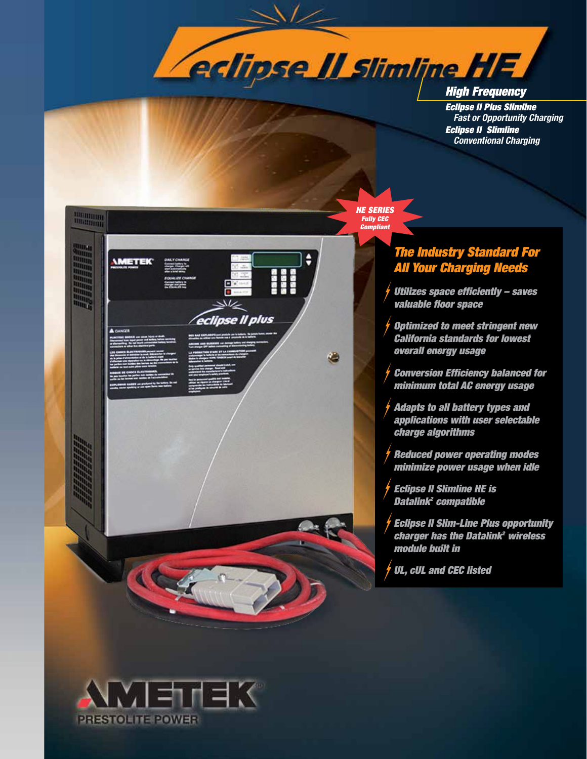

*Eclipse II Plus Slimline Fast or Opportunity Charging Eclipse II Slimline Conventional Charging*



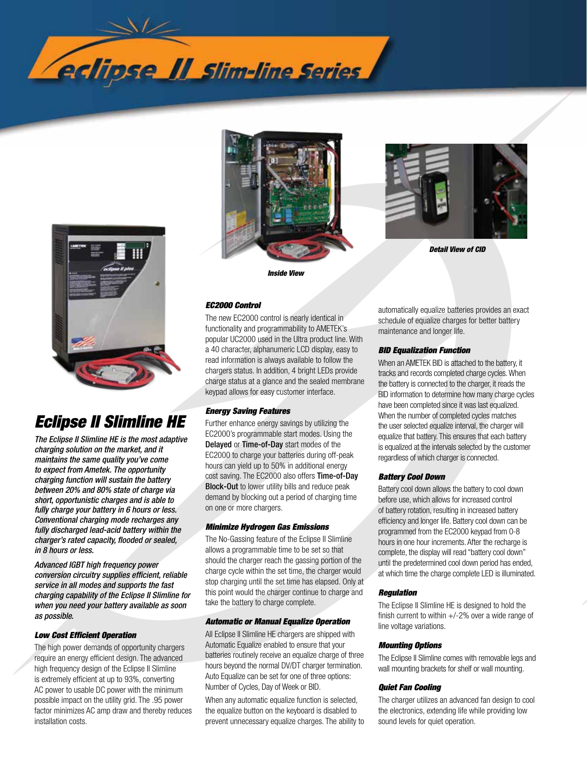



# *Eclipse II Slimline HE*

*The Eclipse II Slimline HE is the most adaptive charging solution on the market, and it maintains the same quality you've come to expect from Ametek. The opportunity charging function will sustain the battery between 20% and 80% state of charge via short, opportunistic charges and is able to fully charge your battery in 6 hours or less. Conventional charging mode recharges any fully discharged lead-acid battery within the charger's rated capacity, flooded or sealed, in 8 hours or less.* 

*Advanced IGBT high frequency power conversion circuitry supplies efficient, reliable service in all modes and supports the fast charging capability of the Eclipse II Slimline for when you need your battery available as soon as possible.* 

#### *Low Cost Efficient Operation*

The high power demands of opportunity chargers require an energy efficient design. The advanced high frequency design of the Eclipse II Slimline is extremely efficient at up to 93%, converting AC power to usable DC power with the minimum possible impact on the utility grid. The .95 power factor minimizes AC amp draw and thereby reduces installation costs.





*Detail View of CID*

*EC2000 Control*

The new EC2000 control is nearly identical in functionality and programmability to AMETEK's popular UC2000 used in the Ultra product line. With a 40 character, alphanumeric LCD display, easy to read information is always available to follow the chargers status. In addition, 4 bright LEDs provide charge status at a glance and the sealed membrane keypad allows for easy customer interface.

#### *Energy Saving Features*

Further enhance energy savings by utilizing the EC2000's programmable start modes. Using the Delayed or Time-of-Day start modes of the EC2000 to charge your batteries during off-peak hours can yield up to 50% in additional energy cost saving. The EC2000 also offers Time-of-Day Block-Out to lower utility bills and reduce peak demand by blocking out a period of charging time on one or more chargers.

#### *Minimize Hydrogen Gas Emissions*

The No-Gassing feature of the Eclipse II Slimline allows a programmable time to be set so that should the charger reach the gassing portion of the charge cycle within the set time, the charger would stop charging until the set time has elapsed. Only at this point would the charger continue to charge and take the battery to charge complete.

#### *Automatic or Manual Equalize Operation*

All Eclipse II Slimline HE chargers are shipped with Automatic Equalize enabled to ensure that your batteries routinely receive an equalize charge of three hours beyond the normal DV/DT charger termination. Auto Equalize can be set for one of three options: Number of Cycles, Day of Week or BID.

When any automatic equalize function is selected, the equalize button on the keyboard is disabled to prevent unnecessary equalize charges. The ability to automatically equalize batteries provides an exact schedule of equalize charges for better battery maintenance and longer life.

#### *BID Equalization Function*

When an AMETEK BID is attached to the battery, it tracks and records completed charge cycles. When the battery is connected to the charger, it reads the BID information to determine how many charge cycles have been completed since it was last equalized. When the number of completed cycles matches the user selected equalize interval, the charger will equalize that battery. This ensures that each battery is equalized at the intervals selected by the customer regardless of which charger is connected.

#### *Battery Cool Down*

Battery cool down allows the battery to cool down before use, which allows for increased control of battery rotation, resulting in increased battery efficiency and longer life. Battery cool down can be programmed from the EC2000 keypad from 0-8 hours in one hour increments. After the recharge is complete, the display will read "battery cool down" until the predetermined cool down period has ended, at which time the charge complete LED is illuminated.

#### *Regulation*

The Eclipse II Slimline HE is designed to hold the finish current to within  $+/-2%$  over a wide range of line voltage variations.

#### *Mounting Options*

The Eclipse II Slimline comes with removable legs and wall mounting brackets for shelf or wall mounting.

#### *Quiet Fan Cooling*

The charger utilizes an advanced fan design to cool the electronics, extending life while providing low sound levels for quiet operation.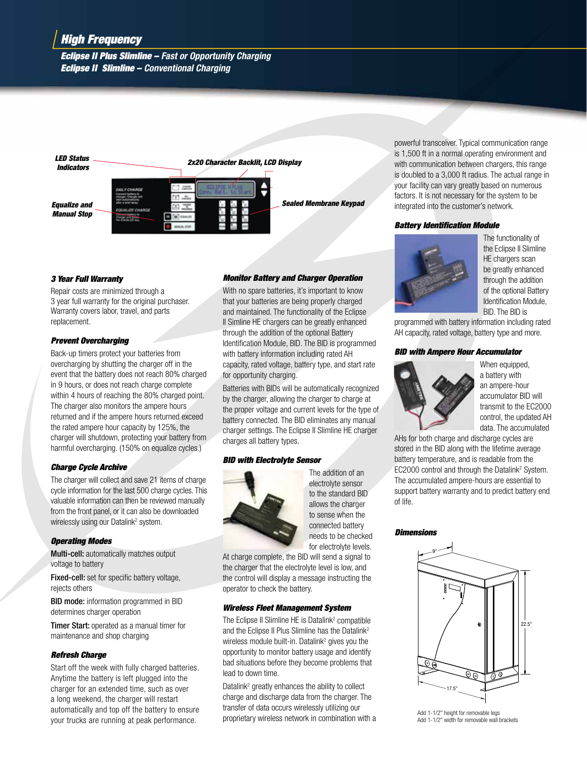## *High Frequency*

*Eclipse II Plus Slimline – Fast or Opportunity Charging Eclipse II Slimline – Conventional Charging*



#### *3 Year Full Warranty*

Repair costs are minimized through a 3 year full warranty for the original purchaser. Warranty covers labor, travel, and parts replacement.

#### *Prevent Overcharging*

Back-up timers protect your batteries from overcharging by shutting the charger off in the event that the battery does not reach 80% charged in 9 hours, or does not reach charge complete within 4 hours of reaching the 80% charged point. The charger also monitors the ampere hours returned and if the ampere hours returned exceed the rated ampere hour capacity by 125%, the charger will shutdown, protecting your battery from harmful overcharging. (150% on equalize cycles.)

### *Charge Cycle Archive*

The charger will collect and save 21 items of charge cycle information for the last 500 charge cycles. This valuable information can then be reviewed manually from the front panel, or it can also be downloaded wirelessly using our Datalink<sup>2</sup> system.

#### *Operating Modes*

Multi-cell: automatically matches output voltage to battery

Fixed-cell: set for specific battery voltage, rejects others

**BID mode:** information programmed in BID determines charger operation

**Timer Start:** operated as a manual timer for maintenance and shop charging

#### *Refresh Charge*

Start off the week with fully charged batteries. Anytime the battery is left plugged into the charger for an extended time, such as over a long weekend, the charger will restart automatically and top off the battery to ensure your trucks are running at peak performance.

#### *Monitor Battery and Charger Operation*

With no spare batteries, it's important to know that your batteries are being properly charged and maintained. The functionality of the Eclipse II Simline HE chargers can be greatly enhanced through the addition of the optional Battery Identification Module, BID. The BID is programmed with battery information including rated AH capacity, rated voltage, battery type, and start rate for opportunity charging.

Batteries with BIDs will be automatically recognized by the charger, allowing the charger to charge at the proper voltage and current levels for the type of battery connected. The BID eliminates any manual charger settings. The Eclipse II Slimline HE charger charges all battery types.

### *BID with Electrolyte Sensor*



The addition of an electrolyte sensor to the standard BID allows the charger to sense when the connected battery needs to be checked for electrolyte levels.

At charge complete, the BID will send a signal to the charger that the electrolyte level is low, and the control will display a message instructing the operator to check the battery.

#### *Wireless Fleet Management System*

The Eclipse II Slimline HE is Datalink<sup>2</sup> compatible and the Eclipse II Plus Slimline has the Datalink<sup>2</sup> wireless module built-in. Datalink<sup>2</sup> gives you the opportunity to monitor battery usage and identify bad situations before they become problems that lead to down time.

Datalink<sup>2</sup> greatly enhances the ability to collect charge and discharge data from the charger. The transfer of data occurs wirelessly utilizing our proprietary wireless network in combination with a powerful transceiver. Typical communication range is 1,500 ft in a normal operating environment and with communication between chargers, this range is doubled to a 3,000 ft radius. The actual range in your facility can vary greatly based on numerous factors. It is not necessary for the system to be integrated into the customer's network.

#### *Battery Identification Module*



The functionality of the Eclipse II Slimline HE chargers scan be greatly enhanced through the addition of the optional Battery Identification Module, BID. The BID is

programmed with battery information including rated AH capacity, rated voltage, battery type and more.

### *BID with Ampere Hour Accumulator*



When equipped, a battery with an ampere-hour accumulator BID will transmit to the EC2000 control, the updated AH data. The accumulated

AHs for both charge and discharge cycles are stored in the BID along with the lifetime average battery temperature, and is readable from the EC2000 control and through the Datalink<sup>2</sup> System. The accumulated ampere-hours are essential to support battery warranty and to predict battery end of life.

#### *Dimensions*



Add 1-1/2" height for removable legs Add 1-1/2" width for removable wall brackets